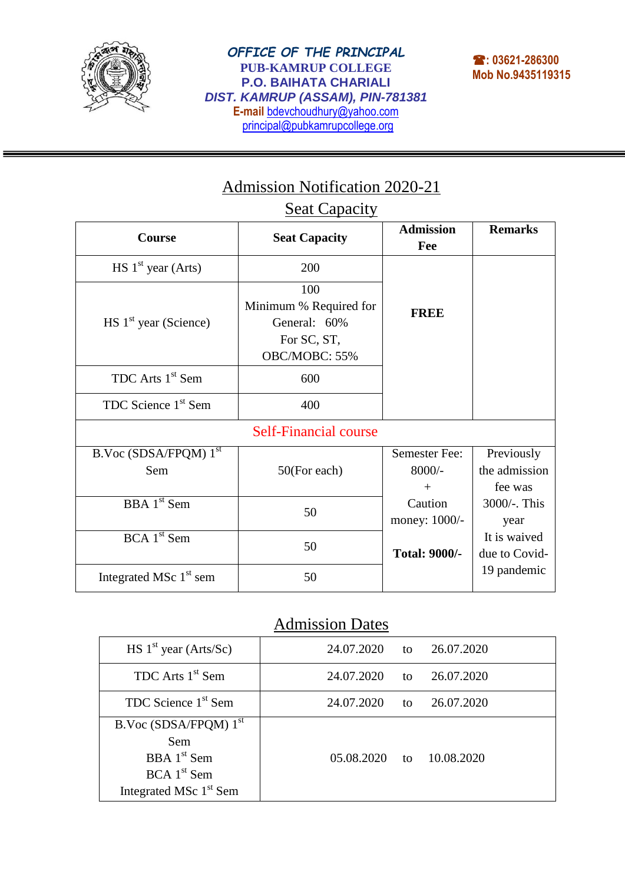

ī

## Admission Notification 2020-21

## **Seat Capacity**

| Course                              | <b>Seat Capacity</b>                                                          | <b>Admission</b><br>Fee             | <b>Remarks</b>                         |  |  |  |  |  |  |
|-------------------------------------|-------------------------------------------------------------------------------|-------------------------------------|----------------------------------------|--|--|--|--|--|--|
| $HS$ 1 <sup>st</sup> year (Arts)    | 200                                                                           |                                     |                                        |  |  |  |  |  |  |
| $HS$ 1 <sup>st</sup> year (Science) | 100<br>Minimum % Required for<br>General: 60%<br>For SC, ST,<br>OBC/MOBC: 55% | <b>FREE</b>                         |                                        |  |  |  |  |  |  |
| TDC Arts 1 <sup>st</sup> Sem        | 600                                                                           |                                     |                                        |  |  |  |  |  |  |
| TDC Science 1 <sup>st</sup> Sem     | 400                                                                           |                                     |                                        |  |  |  |  |  |  |
| <b>Self-Financial course</b>        |                                                                               |                                     |                                        |  |  |  |  |  |  |
| B.Voc (SDSA/FPQM) 1st<br>Sem        | 50(For each)                                                                  | Semester Fee:<br>$8000/-$<br>$^{+}$ | Previously<br>the admission<br>fee was |  |  |  |  |  |  |
| <b>BBA</b> 1 <sup>st</sup> Sem      | 50                                                                            | Caution<br>money: 1000/-            | 3000/-. This<br>year                   |  |  |  |  |  |  |
| $BCA$ 1 <sup>st</sup> Sem           | 50                                                                            | <b>Total: 9000/-</b>                | It is waived<br>due to Covid-          |  |  |  |  |  |  |
| Integrated MSc $1st$ sem            | 50                                                                            |                                     | 19 pandemic                            |  |  |  |  |  |  |

## Admission Dates

| $HS$ 1 <sup>st</sup> year (Arts/Sc) | 24.07.2020      | to | 26.07.2020 |
|-------------------------------------|-----------------|----|------------|
| TDC Arts 1 <sup>st</sup> Sem        | 24.07.2020      | to | 26.07.2020 |
| TDC Science 1 <sup>st</sup> Sem     | 24.07.2020      | to | 26.07.2020 |
| B.Voc (SDSA/FPQM) 1 <sup>st</sup>   |                 |    |            |
| Sem                                 |                 |    |            |
| $BBA$ 1 <sup>st</sup> Sem           | $05.08.2020$ to |    | 10.08.2020 |
| $BCA$ 1 <sup>st</sup> Sem           |                 |    |            |
| Integrated MSc 1 <sup>st</sup> Sem  |                 |    |            |